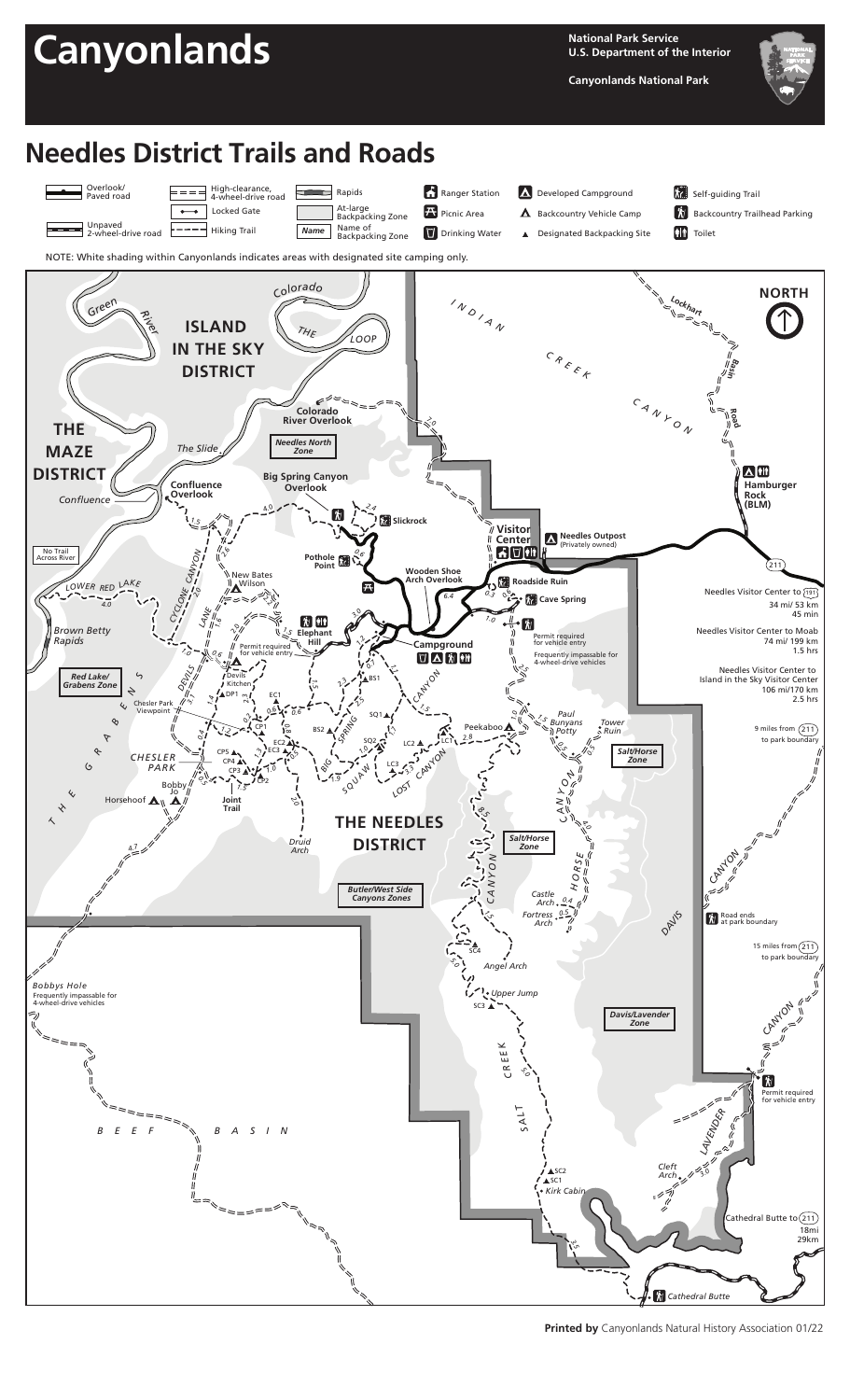

**Printed by** Canyonlands Natural History Association 01/22